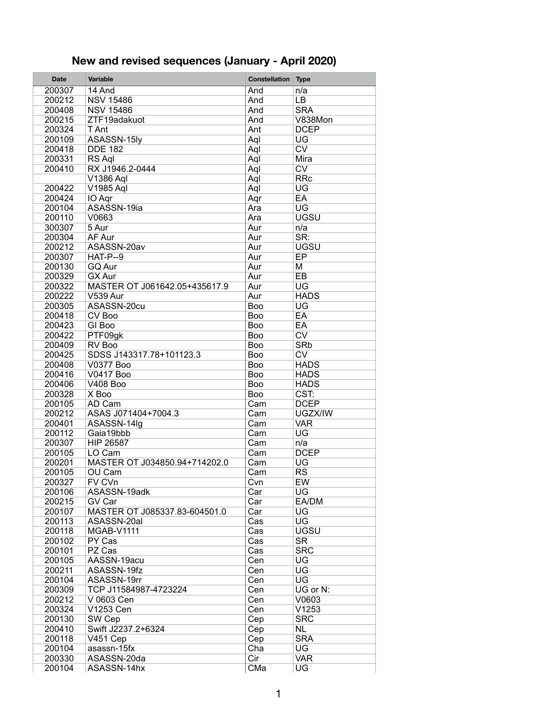## **New and revised sequences (January - April 2020)**

| <b>Date</b> | <b>Variable</b>               | <b>Constellation Type</b> |             |
|-------------|-------------------------------|---------------------------|-------------|
| 200307      | 14 And                        | And                       | n/a         |
| 200212      | <b>NSV 15486</b>              | And                       | <b>LB</b>   |
| 200408      | <b>NSV 15486</b>              | And                       | <b>SRA</b>  |
| 200215      | ZTF19adakuot                  | And                       | V838Mon     |
| 200324      | T Ant                         | Ant                       | <b>DCEP</b> |
| 200109      | ASASSN-15ly                   | Aql                       | UG          |
| 200418      | <b>DDE 182</b>                | Aql                       | <b>CV</b>   |
| 200331      | <b>RS Aql</b>                 | Aql                       | Mira        |
| 200410      | RX J1946.2-0444               | Aql                       | <b>CV</b>   |
|             | V1386 Aql                     | Aql                       | <b>RRc</b>  |
| 200422      | V1985 Aql                     | Aql                       | UG          |
| 200424      | IO Agr                        | Aqr                       | EA          |
| 200104      | ASASSN-19ia                   | Ara                       | <b>UG</b>   |
| 200110      | V0663                         | Ara                       | <b>UGSU</b> |
| 300307      | 5 Aur                         | Aur                       | n/a         |
| 200304      | AF Aur                        | Aur                       | SR:         |
| 200212      | ASASSN-20av                   | Aur                       | <b>UGSU</b> |
| 200307      | $HAT-P-9$                     | Aur                       | EP          |
| 200130      | <b>GQ Aur</b>                 | Aur                       | M           |
| 200329      | <b>GX Aur</b>                 | Aur                       | EB          |
| 200322      | MASTER OT J061642.05+435617.9 | Aur                       | <b>UG</b>   |
| 200222      | <b>V539 Aur</b>               | Aur                       | <b>HADS</b> |
| 200305      | ASASSN-20cu                   | <b>Boo</b>                | UG          |
| 200418      | CV Boo                        | <b>Boo</b>                | EA          |
| 200423      | GI Boo                        | <b>Boo</b>                | EA          |
| 200422      | PTF09gk                       | <b>Boo</b>                | <b>CV</b>   |
| 200409      | RV Boo                        | <b>Boo</b>                | <b>SRb</b>  |
| 200425      | SDSS J143317.78+101123.3      | <b>Boo</b>                | <b>CV</b>   |
| 200408      | <b>V0377 Boo</b>              | <b>Boo</b>                | <b>HADS</b> |
| 200416      | <b>V0417 Boo</b>              | <b>Boo</b>                | <b>HADS</b> |
| 200406      | <b>V408 Boo</b>               | <b>Boo</b>                | <b>HADS</b> |
| 200328      | X Boo                         | <b>Boo</b>                | CST:        |
| 200105      | AD Cam                        | Cam                       | <b>DCEP</b> |
| 200212      | ASAS J071404+7004.3           | Cam                       | UGZX/IW     |
| 200401      | ASASSN-14lg                   | Cam                       | <b>VAR</b>  |
| 200112      | Gaia19bbb                     | Cam                       | UG          |
| 200307      | <b>HIP 26587</b>              | Cam                       | n/a         |
| 200105      | LO Cam                        | Cam                       | <b>DCEP</b> |
| 200201      | MASTER OT J034850.94+714202.0 | Cam                       | UG          |
| 200105      | OU Cam                        | Cam                       | <b>RS</b>   |
| 200327      | FV CVn                        | Cvn                       | EW          |
| 200106      | ASASSN-19adk                  | Car                       | <b>UG</b>   |
| 200215      | <b>GV Car</b>                 | Car                       | EA/DM       |
| 200107      | MASTER OT J085337.83-604501.0 | Car                       | UG          |
| 200113      | ASASSN-20al                   | Cas                       | <b>UG</b>   |
| 200118      | <b>MGAB-V1111</b>             | Cas                       | <b>UGSU</b> |
| 200102      | PY Cas                        | Cas                       | <b>SR</b>   |
| 200101      | PZ Cas                        | Cas                       | <b>SRC</b>  |
| 200105      | AASSN-19acu                   | Cen                       | UG          |
| 200211      | ASASSN-19fz                   | Cen                       | UG          |
| 200104      | ASASSN-19rr                   | Cen                       | <b>UG</b>   |
| 200309      | TCP J11584987-4723224         | Cen                       | UG or N:    |
| 200212      | V 0603 Cen                    | Cen                       | V0603       |
| 200324      | V1253 Cen                     | Cen                       | V1253       |
| 200130      | SW Cep                        | Cep                       | <b>SRC</b>  |
| 200410      | Swift J2237.2+6324            | Cep                       | <b>NL</b>   |
| 200118      | <b>V451 Cep</b>               | Cep                       | <b>SRA</b>  |
| 200104      | asassn-15fx                   | Cha                       | <b>UG</b>   |
| 200330      | ASASSN-20da                   | Cir                       | <b>VAR</b>  |
| 200104      | ASASSN-14hx                   | CMa                       | UG          |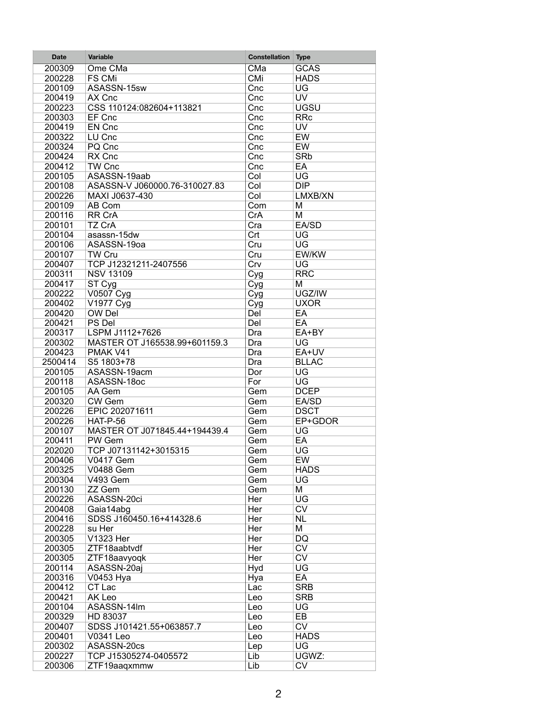| <b>Date</b> | <b>Variable</b>               | <b>Constellation Type</b> |              |
|-------------|-------------------------------|---------------------------|--------------|
| 200309      | Ome CMa                       | CMa                       | <b>GCAS</b>  |
| 200228      | <b>FS CMi</b>                 | <b>CMi</b>                | <b>HADS</b>  |
| 200109      | ASASSN-15sw                   | Cnc                       | <b>UG</b>    |
| 200419      | AX Cnc                        | Cnc                       | <b>UV</b>    |
| 200223      | CSS 110124:082604+113821      | Cnc                       | <b>UGSU</b>  |
| 200303      | EF Cnc                        | Cnc                       | <b>RRc</b>   |
| 200419      | EN Cnc                        | Cnc                       | <b>UV</b>    |
| 200322      | LU Cnc                        | Cnc                       | <b>EW</b>    |
| 200324      | PQ Cnc                        | Cnc                       | EW           |
| 200424      | RX Cnc                        | Cnc                       | <b>SRb</b>   |
| 200412      | TW Cnc                        | Cnc                       | EA           |
| 200105      | ASASSN-19aab                  | Col                       | <b>UG</b>    |
| 200108      | ASASSN-V J060000.76-310027.83 | Col                       | <b>DIP</b>   |
| 200226      | MAXI J0637-430                | Col                       | LMXB/XN      |
| 200109      | AB Com                        | Com                       | M            |
| 200116      | <b>RR CrA</b>                 | CrA                       | M            |
| 200101      | <b>TZ CrA</b>                 | Cra                       | EA/SD        |
| 200104      | asassn-15dw                   | Crt                       | <b>UG</b>    |
| 200106      | ASASSN-19oa                   | Cru                       | <b>UG</b>    |
| 200107      | <b>TW Cru</b>                 | Cru                       | EW/KW        |
| 200407      | TCP J12321211-2407556         | Crv                       | <b>UG</b>    |
| 200311      | <b>NSV 13109</b>              | Cyg                       | <b>RRC</b>   |
| 200417      | ST Cyg                        | Cyg                       | M            |
| 200222      | V0507 Cyg                     | Cyg                       | UGZ/IW       |
| 200402      | V1977 Cyg                     | Cyg                       | <b>UXOR</b>  |
| 200420      | <b>OW Del</b>                 | Del                       | EA           |
| 200421      | <b>PS Del</b>                 | Del                       | EA           |
| 200317      | LSPM J1112+7626               | Dra                       | EA+BY        |
| 200302      | MASTER OT J165538.99+601159.3 | Dra                       | UG           |
| 200423      | PMAK V41                      | Dra                       | EA+UV        |
| 2500414     | S5 1803+78                    | Dra                       | <b>BLLAC</b> |
| 200105      | ASASSN-19acm                  | Dor                       | <b>UG</b>    |
| 200118      | ASASSN-18oc                   | For                       | <b>UG</b>    |
| 200105      | AA Gem                        | Gem                       | <b>DCEP</b>  |
| 200320      | <b>CW Gem</b>                 | Gem                       | EA/SD        |
| 200226      | EPIC 202071611                | Gem                       | <b>DSCT</b>  |
| 200226      | <b>HAT-P-56</b>               | Gem                       | EP+GDOR      |
| 200107      | MASTER OT J071845.44+194439.4 | Gem                       | <b>UG</b>    |
| 200411      | <b>PW Gem</b>                 | Gem                       | EA           |
| 202020      | TCP J07131142+3015315         | Gem                       | UG           |
| 200406      | <b>V0417 Gem</b>              | Gem                       | <b>EW</b>    |
| 200325      | <b>V0488 Gem</b>              | Gem                       | <b>HADS</b>  |
| 200304      | <b>V493 Gem</b>               | Gem                       | <b>UG</b>    |
| 200130      | <b>ZZ Gem</b>                 | Gem                       | M            |
| 200226      | ASASSN-20ci                   | Her                       | UG           |
| 200408      | Gaia14abg                     | Her                       | <b>CV</b>    |
| 200416      | SDSS J160450.16+414328.6      | Her                       | <b>NL</b>    |
| 200228      | su Her                        | Her                       | Μ            |
| 200305      | V1323 Her                     | Her                       | <b>DQ</b>    |
| 200305      | ZTF18aabtvdf                  | Her                       | <b>CV</b>    |
| 200305      | ZTF18aavyoqk                  | Her                       | <b>CV</b>    |
| 200114      | ASASSN-20aj                   | <b>Hyd</b>                | UG           |
| 200316      | V0453 Hya                     | Hya                       | EA           |
| 200412      | CT Lac                        | Lac                       | <b>SRB</b>   |
| 200421      | AK Leo                        | Leo                       | <b>SRB</b>   |
| 200104      | ASASSN-14lm                   | Leo                       | UG           |
| 200329      | HD 83037                      | Leo                       | EB           |
| 200407      | SDSS J101421.55+063857.7      | Leo                       | <b>CV</b>    |
| 200401      | <b>V0341 Leo</b>              | Leo                       | <b>HADS</b>  |
| 200302      | ASASSN-20cs                   | Lep                       | <b>UG</b>    |
| 200227      | TCP J15305274-0405572         | Lib                       | UGWZ:        |
| 200306      | ZTF19aaqxmmw                  | Lib                       | <b>CV</b>    |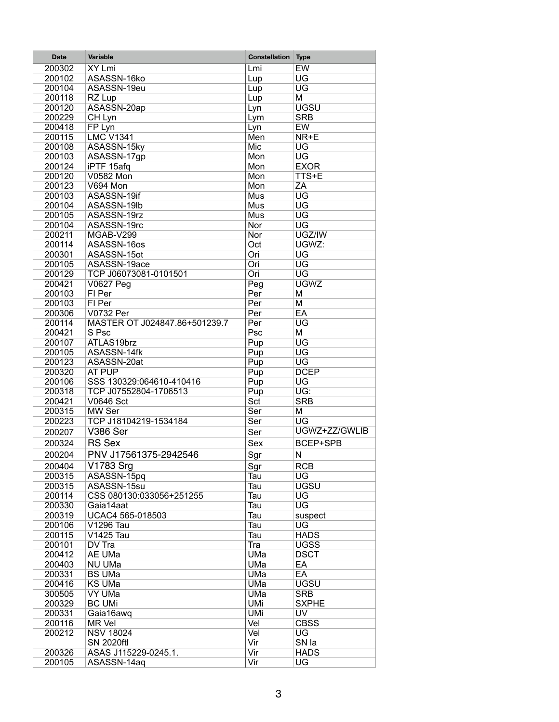| <b>Date</b>      | <b>Variable</b>                | <b>Constellation</b> | <b>Type</b>              |
|------------------|--------------------------------|----------------------|--------------------------|
| 200302           | XY Lmi                         | Lmi                  | EW                       |
| 200102           | ASASSN-16ko                    | Lup                  | <b>UG</b>                |
| 200104           | ASASSN-19eu                    | Lup                  | UG                       |
| 200118           | RZ Lup                         | Lup                  | M                        |
| 200120           | ASASSN-20ap                    | Lyn                  | <b>UGSU</b>              |
| 200229           | CH Lyn                         | Lym                  | <b>SRB</b>               |
| 200418           | FP Lyn                         | Lyn                  | <b>EW</b>                |
| 200115           | <b>LMC V1341</b>               | Men                  | NR+E                     |
| 200108           | ASASSN-15ky                    | Mic                  | UG                       |
| 200103           | ASASSN-17gp                    | Mon                  | <b>UG</b>                |
| 200124           | iPTF 15afq                     | Mon                  | <b>EXOR</b>              |
| 200120           | <b>V0582 Mon</b>               | Mon                  | TTS+E                    |
| 200123           | V694 Mon                       | Mon                  | ZA                       |
| 200103           | ASASSN-19if                    | <b>Mus</b>           | <b>UG</b>                |
| 200104           | ASASSN-19lb                    | Mus                  | <b>UG</b>                |
| 200105           | ASASSN-19rz                    | <b>Mus</b>           | <b>UG</b>                |
| 200104           | ASASSN-19rc                    | Nor                  | <b>UG</b>                |
| 200211           | MGAB-V299                      | Nor                  | UGZ/IW                   |
| 200114           | ASASSN-16os                    | Oct                  | UGWZ:                    |
| 200301           | ASASSN-15ot                    | Ori                  | <b>UG</b>                |
| 200105           | ASASSN-19ace                   | Ori                  | UG                       |
| 200129           | TCP J06073081-0101501          | Ori                  | <b>UG</b>                |
| 200421           | <b>V0627 Peg</b>               | Peg                  | <b>UGWZ</b>              |
| 200103           | FI Per                         | Per                  | M                        |
| 200103           | FI Per                         | Per                  | M                        |
| 200306           | <b>V0732 Per</b>               | Per                  | EA                       |
| 200114           | MASTER OT J024847.86+501239.7  | Per                  | <b>UG</b>                |
| 200421           | S Psc                          | Psc                  | M                        |
| 200107           | ATLAS19brz                     | Pup                  | UG                       |
| 200105           | ASASSN-14fk                    | Pup                  | <b>UG</b>                |
| 200123<br>200320 | ASASSN-20at<br>AT PUP          | Pup                  | <b>UG</b><br><b>DCEP</b> |
| 200106           | SSS 130329:064610-410416       | Pup<br>Pup           | <b>UG</b>                |
| 200318           | TCP J07552804-1706513          | Pup                  | UG:                      |
| 200421           | <b>V0646 Sct</b>               | Sct                  | <b>SRB</b>               |
| 200315           | MW Ser                         | Ser                  | M                        |
| 200223           | TCP J18104219-1534184          | Ser                  | <b>UG</b>                |
| 200207           | V386 Ser                       | Ser                  | UGWZ+ZZ/GWLIB            |
|                  | <b>RS Sex</b>                  |                      |                          |
| 200324           |                                | Sex                  | <b>BCEP+SPB</b>          |
| 200204           | PNV J17561375-2942546          | Sgr                  | N                        |
| 200404           | V1783 Srg                      | Sgr                  | <b>RCB</b>               |
| 200315           | ASASSN-15pq                    | Tau                  | <b>UG</b>                |
| 200315           | ASASSN-15su                    | Tau                  | <b>UGSU</b>              |
| 200114           | CSS 080130:033056+251255       | Tau                  | <b>UG</b>                |
| 200330           | Gaia14aat                      | Tau                  | <b>UG</b>                |
| 200319           | UCAC4 565-018503               | Tau                  | suspect                  |
| 200106           | <b>V1296 Tau</b>               | Tau                  | UG                       |
| 200115           | <b>V1425 Tau</b>               | Tau                  | <b>HADS</b>              |
| 200101           | DV Tra                         | Tra                  | <b>UGSS</b>              |
| 200412           | AE UMa                         | UMa                  | <b>DSCT</b>              |
| 200403           | NU UMa                         | UMa                  | EA                       |
| 200331<br>200416 | <b>BS UMa</b><br><b>KS UMa</b> | UMa<br>UMa           | EA<br><b>UGSU</b>        |
| 300505           | VY UMa                         | UMa                  | <b>SRB</b>               |
| 200329           | <b>BC UMi</b>                  | UMi                  | <b>SXPHE</b>             |
| 200331           | Gaia16awq                      | <b>UMi</b>           | UV                       |
| 200116           | MR Vel                         | Vel                  | <b>CBSS</b>              |
| 200212           | <b>NSV 18024</b>               | Vel                  | UG                       |
|                  | <b>SN 2020ftl</b>              | Vir                  | SN la                    |
| 200326           | ASAS J115229-0245.1.           | Vir                  | <b>HADS</b>              |
| 200105           | ASASSN-14aq                    | Vir                  | <b>UG</b>                |
|                  |                                |                      |                          |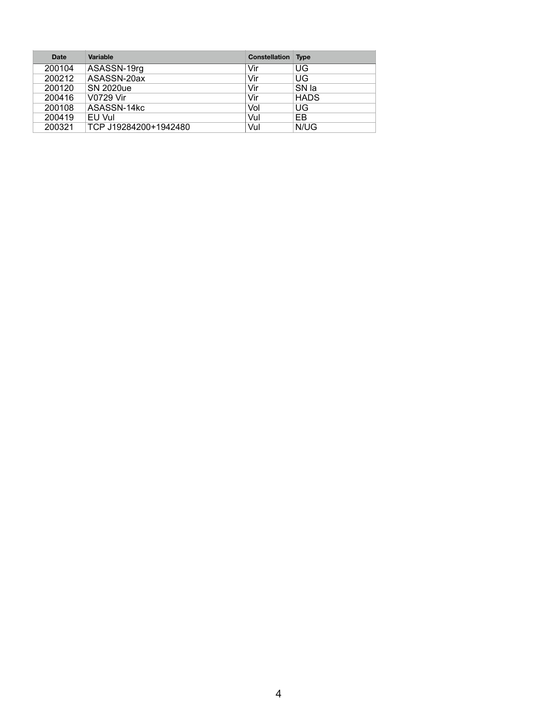| <b>Date</b> | <b>Variable</b>       | <b>Constellation Type</b> |             |
|-------------|-----------------------|---------------------------|-------------|
| 200104      | ASASSN-19rg           | Vir                       | UG          |
| 200212      | ASASSN-20ax           | Vir                       | UG          |
| 200120      | <b>SN 2020ue</b>      | Vir                       | SN la       |
| 200416      | <b>V0729 Vir</b>      | Vir                       | <b>HADS</b> |
| 200108      | ASASSN-14kc           | Vol                       | UG          |
| 200419      | EU Vul                | Vul                       | EB          |
| 200321      | TCP J19284200+1942480 | Vul                       | N/UG        |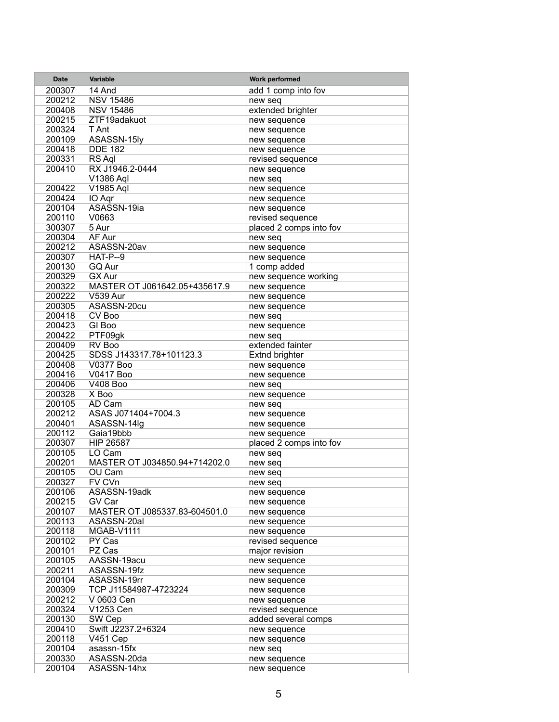| <b>Date</b>      | <b>Variable</b>                     | <b>Work performed</b>                   |
|------------------|-------------------------------------|-----------------------------------------|
| 200307           | 14 And                              | add 1 comp into fov                     |
| 200212           | <b>NSV 15486</b>                    | new seq                                 |
| 200408           | <b>NSV 15486</b>                    | extended brighter                       |
| 200215           | ZTF19adakuot                        | new sequence                            |
| 200324           | T Ant                               | new sequence                            |
| 200109           | ASASSN-15ly                         | new sequence                            |
| 200418           | <b>DDE 182</b>                      | new sequence                            |
| 200331           | <b>RS Aql</b>                       | revised sequence                        |
| 200410           | RX J1946.2-0444                     | new sequence                            |
|                  | V1386 Aql                           | new seq                                 |
| 200422           | V1985 Aql                           | new sequence                            |
| 200424           | IO Agr                              | new sequence                            |
| 200104           | ASASSN-19ia                         | new sequence                            |
| 200110           | V0663                               | revised sequence                        |
| 300307           | 5 Aur                               | placed 2 comps into fov                 |
| 200304           | <b>AF Aur</b>                       | new seq                                 |
| 200212           | ASASSN-20av                         | new sequence                            |
| 200307           | $HAT-P-9$                           | new sequence                            |
| 200130           | <b>GQ Aur</b><br><b>GX Aur</b>      | 1 comp added                            |
| 200329<br>200322 | MASTER OT J061642.05+435617.9       | new sequence working                    |
| 200222           | <b>V539 Aur</b>                     | new sequence                            |
| 200305           | ASASSN-20cu                         | new sequence                            |
| 200418           | CV Boo                              | new sequence                            |
| 200423           | GI Boo                              | new seq                                 |
| 200422           | PTF09gk                             | new sequence<br>new seq                 |
| 200409           | <b>RV Boo</b>                       | extended fainter                        |
| 200425           | SDSS J143317.78+101123.3            | <b>Extnd brighter</b>                   |
| 200408           | <b>V0377 Boo</b>                    | new sequence                            |
| 200416           | <b>V0417 Boo</b>                    | new sequence                            |
| 200406           | <b>V408 Boo</b>                     | new seq                                 |
| 200328           | X Boo                               | new sequence                            |
| 200105           | AD Cam                              | new seq                                 |
| 200212           | ASAS J071404+7004.3                 | new sequence                            |
| 200401           | ASASSN-14lg                         | new sequence                            |
| 200112           | Gaia19bbb                           | new sequence                            |
| 200307           | <b>HIP 26587</b>                    | placed 2 comps into fov                 |
| 200105           | LO Cam                              | new seq                                 |
| 200201           | MASTER OT J034850.94+714202.0       | new seq                                 |
| 200105           | <b>OU Cam</b>                       | new seq                                 |
| 200327           | FV CVn                              | new seq                                 |
| 200106           | ASASSN-19adk                        | new sequence                            |
| 200215           | <b>GV Car</b>                       | new sequence                            |
| 200107           | MASTER OT J085337.83-604501.0       | new sequence                            |
| 200113           | ASASSN-20al                         | new sequence                            |
| 200118           | <b>MGAB-V1111</b>                   | new sequence                            |
| 200102           | PY Cas                              | revised sequence                        |
| 200101           | PZ Cas                              | major revision                          |
| 200105           | AASSN-19acu                         | new sequence                            |
| 200211           | ASASSN-19fz                         | new sequence                            |
| 200104           | ASASSN-19rr                         | new sequence                            |
| 200309           | TCP J11584987-4723224<br>V 0603 Cen | new sequence                            |
| 200212<br>200324 | V1253 Cen                           | new sequence                            |
| 200130           | SW Cep                              | revised sequence<br>added several comps |
| 200410           | Swift J2237.2+6324                  | new sequence                            |
| 200118           | V451 Cep                            | new sequence                            |
| 200104           | asassn-15fx                         | new seq                                 |
| 200330           | ASASSN-20da                         | new sequence                            |
| 200104           | ASASSN-14hx                         | new sequence                            |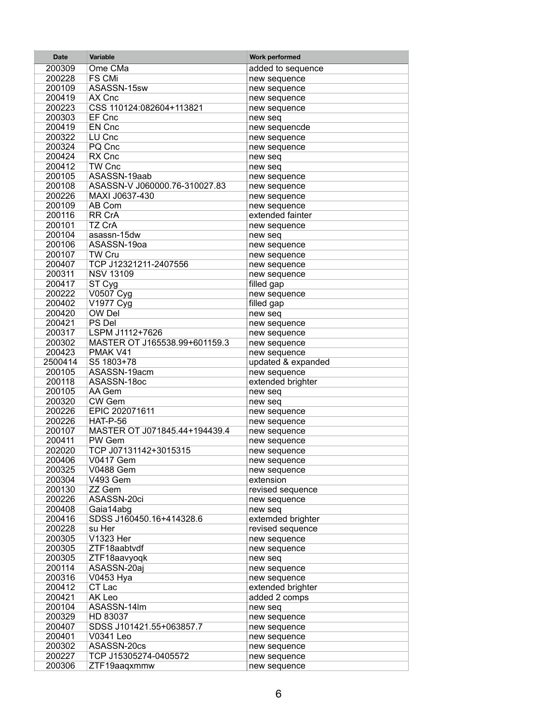| <b>Date</b> | <b>Variable</b>               | <b>Work performed</b> |
|-------------|-------------------------------|-----------------------|
| 200309      | Ome CMa                       | added to sequence     |
| 200228      | <b>FS CMi</b>                 | new sequence          |
| 200109      | ASASSN-15sw                   | new sequence          |
| 200419      | AX Cnc                        | new sequence          |
| 200223      | CSS 110124:082604+113821      | new sequence          |
| 200303      | EF Cnc                        | new seq               |
| 200419      | <b>EN Cnc</b>                 | new sequencde         |
| 200322      | LU Cnc                        | new sequence          |
| 200324      | PQ Cnc                        | new sequence          |
| 200424      | <b>RX Cnc</b>                 | new seq               |
| 200412      | TW Cnc                        | new seq               |
| 200105      | ASASSN-19aab                  | new sequence          |
| 200108      | ASASSN-V J060000.76-310027.83 | new sequence          |
| 200226      | MAXI J0637-430                | new sequence          |
| 200109      | AB Com                        | new sequence          |
| 200116      | <b>RR CrA</b>                 | extended fainter      |
| 200101      | <b>TZ CrA</b>                 | new sequence          |
| 200104      | asassn-15dw                   | new seq               |
| 200106      | ASASSN-19oa                   | new sequence          |
| 200107      | TW Cru                        | new sequence          |
| 200407      | TCP J12321211-2407556         | new sequence          |
| 200311      | <b>NSV 13109</b>              | new sequence          |
| 200417      | ST Cyg                        | filled gap            |
| 200222      | V0507 Cyg                     | new sequence          |
| 200402      | V1977 Cyg                     | filled gap            |
| 200420      | <b>OW Del</b>                 | new seq               |
| 200421      | <b>PS Del</b>                 | new sequence          |
| 200317      | LSPM J1112+7626               | new sequence          |
| 200302      | MASTER OT J165538.99+601159.3 | new sequence          |
| 200423      | PMAK V41                      | new sequence          |
| 2500414     | S5 1803+78                    | updated & expanded    |
| 200105      | ASASSN-19acm                  | new sequence          |
| 200118      | ASASSN-18oc                   | extended brighter     |
| 200105      | AA Gem                        | new seq               |
| 200320      | <b>CW Gem</b>                 | new seq               |
| 200226      | EPIC 202071611                | new sequence          |
| 200226      | <b>HAT-P-56</b>               | new sequence          |
| 200107      | MASTER OT J071845.44+194439.4 | new sequence          |
| 200411      | PW Gem                        | new sequence          |
| 202020      | TCP J07131142+3015315         | new sequence          |
| 200406      | <b>V0417 Gem</b>              | new sequence          |
| 200325      | <b>V0488 Gem</b>              | new sequence          |
| 200304      | <b>V493 Gem</b>               | extension             |
| 200130      | ZZ Gem                        | revised sequence      |
| 200226      | ASASSN-20ci                   | new sequence          |
| 200408      | Gaia14abg                     | new seq               |
| 200416      | SDSS J160450.16+414328.6      | extemded brighter     |
| 200228      | su Her                        | revised sequence      |
| 200305      | <b>V1323 Her</b>              | new sequence          |
| 200305      | ZTF18aabtvdf                  | new sequence          |
| 200305      | ZTF18aavyoqk                  | new seq               |
| 200114      | ASASSN-20aj                   | new sequence          |
| 200316      | V0453 Hya                     | new sequence          |
| 200412      | CT Lac                        | extended brighter     |
| 200421      | AK Leo                        | added 2 comps         |
| 200104      | ASASSN-14lm                   | new seq               |
| 200329      | HD 83037                      | new sequence          |
| 200407      | SDSS J101421.55+063857.7      | new sequence          |
| 200401      | <b>V0341 Leo</b>              | new sequence          |
| 200302      | ASASSN-20cs                   | new sequence          |
| 200227      | TCP J15305274-0405572         | new sequence          |
| 200306      | ZTF19aaqxmmw                  | new sequence          |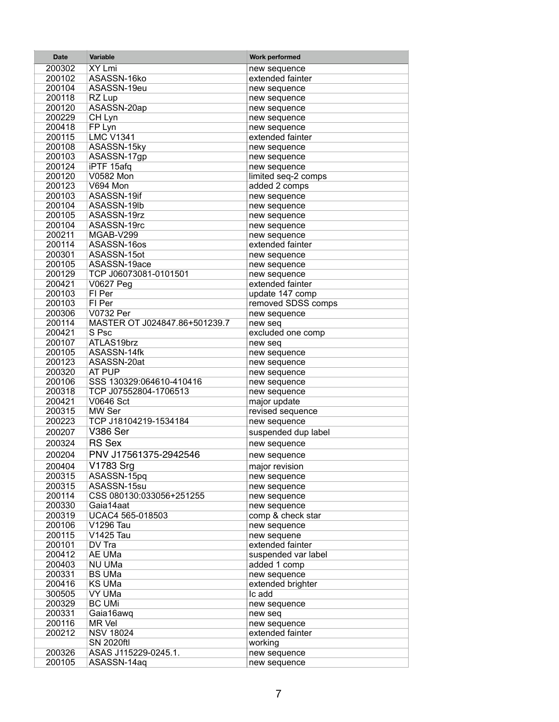| <b>Date</b>      | <b>Variable</b>                    | <b>Work performed</b>        |
|------------------|------------------------------------|------------------------------|
| 200302           | XY Lmi                             | new sequence                 |
| 200102           | ASASSN-16ko                        | extended fainter             |
| 200104           | ASASSN-19eu                        | new sequence                 |
| 200118           | RZ Lup                             | new sequence                 |
| 200120           | ASASSN-20ap                        | new sequence                 |
| 200229           | CH Lyn                             | new sequence                 |
| 200418           | FP Lyn                             | new sequence                 |
| 200115           | <b>LMC V1341</b>                   | extended fainter             |
| 200108           | ASASSN-15ky                        | new sequence                 |
| 200103           | ASASSN-17gp                        | new sequence                 |
| 200124           | iPTF 15afq                         | new sequence                 |
| 200120           | <b>V0582 Mon</b>                   | limited seq-2 comps          |
| 200123           | V694 Mon                           | added 2 comps                |
| 200103           | ASASSN-19if                        | new sequence                 |
| 200104           | ASASSN-19lb                        | new sequence                 |
| 200105           | ASASSN-19rz                        | new sequence                 |
| 200104           | ASASSN-19rc                        | new sequence                 |
| 200211           | MGAB-V299                          | new sequence                 |
| 200114           | ASASSN-16os                        | extended fainter             |
| 200301           | ASASSN-15ot                        | new sequence                 |
| 200105           | ASASSN-19ace                       | new sequence                 |
| 200129           | TCP J06073081-0101501              | new sequence                 |
| 200421           | <b>V0627 Peg</b>                   | extended fainter             |
| 200103           | FI Per                             | update 147 comp              |
| 200103           | FI Per                             | removed SDSS comps           |
| 200306           | <b>V0732 Per</b>                   | new sequence                 |
| 200114           | MASTER OT J024847.86+501239.7      | new seq                      |
| 200421           | S Psc                              | excluded one comp            |
| 200107           | ATLAS19brz                         | new seq                      |
| 200105           | ASASSN-14fk                        | new sequence                 |
| 200123           | ASASSN-20at                        | new sequence                 |
| 200320<br>200106 | AT PUP<br>SSS 130329:064610-410416 | new sequence                 |
| 200318           | TCP J07552804-1706513              | new sequence                 |
| 200421           | <b>V0646 Sct</b>                   | new sequence<br>major update |
| 200315           | <b>MW Ser</b>                      | revised sequence             |
| 200223           | TCP J18104219-1534184              | new sequence                 |
| 200207           | V386 Ser                           | suspended dup label          |
|                  |                                    |                              |
| 200324           | <b>RS Sex</b>                      | new sequence                 |
| 200204           | PNV J17561375-2942546              | new sequence                 |
| 200404           | V1783 Srg                          | major revision               |
| 200315           | ASASSN-15pq                        | new sequence                 |
| 200315           | ASASSN-15su                        | new sequence                 |
| 200114           | CSS 080130:033056+251255           | new sequence                 |
| 200330           | Gaia14aat                          | new sequence                 |
| 200319           | <b>UCAC4 565-018503</b>            | comp & check star            |
| 200106           | V1296 Tau                          | new sequence                 |
| 200115           | <b>V1425 Tau</b>                   | new sequene                  |
| 200101           | DV Tra                             | extended fainter             |
| 200412           | AE UMa                             | suspended var label          |
| 200403           | <b>NU UMa</b>                      | added 1 comp                 |
| 200331           | <b>BS UMa</b>                      | new sequence                 |
| 200416           | <b>KS UMa</b>                      | extended brighter            |
| 300505           | <b>VY UMa</b>                      | Ic add                       |
| 200329           | <b>BC UMi</b>                      | new sequence                 |
| 200331           | Gaia16awq                          | new seq                      |
| 200116           | <b>MR Vel</b>                      | new sequence                 |
| 200212           | <b>NSV 18024</b>                   | extended fainter             |
|                  | <b>SN 2020ftl</b>                  | working                      |
| 200326           | ASAS J115229-0245.1.               | new sequence                 |
| 200105           | ASASSN-14aq                        | new sequence                 |